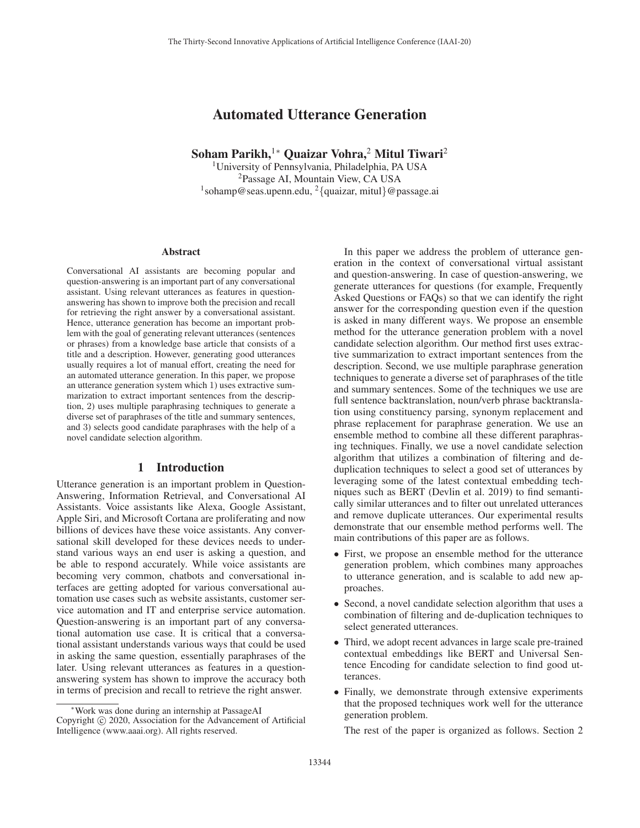# Automated Utterance Generation

Soham Parikh,<sup>1</sup>\* Quaizar Vohra,<sup>2</sup> Mitul Tiwari<sup>2</sup>

<sup>1</sup>University of Pennsylvania, Philadelphia, PA USA <sup>2</sup>Passage AI, Mountain View, CA USA <sup>1</sup>sohamp@seas.upenn.edu, <sup>2</sup>{quaizar, mitul}@passage.ai

#### Abstract

Conversational AI assistants are becoming popular and question-answering is an important part of any conversational assistant. Using relevant utterances as features in questionanswering has shown to improve both the precision and recall for retrieving the right answer by a conversational assistant. Hence, utterance generation has become an important problem with the goal of generating relevant utterances (sentences or phrases) from a knowledge base article that consists of a title and a description. However, generating good utterances usually requires a lot of manual effort, creating the need for an automated utterance generation. In this paper, we propose an utterance generation system which 1) uses extractive summarization to extract important sentences from the description, 2) uses multiple paraphrasing techniques to generate a diverse set of paraphrases of the title and summary sentences, and 3) selects good candidate paraphrases with the help of a novel candidate selection algorithm.

## 1 Introduction

Utterance generation is an important problem in Question-Answering, Information Retrieval, and Conversational AI Assistants. Voice assistants like Alexa, Google Assistant, Apple Siri, and Microsoft Cortana are proliferating and now billions of devices have these voice assistants. Any conversational skill developed for these devices needs to understand various ways an end user is asking a question, and be able to respond accurately. While voice assistants are becoming very common, chatbots and conversational interfaces are getting adopted for various conversational automation use cases such as website assistants, customer service automation and IT and enterprise service automation. Question-answering is an important part of any conversational automation use case. It is critical that a conversational assistant understands various ways that could be used in asking the same question, essentially paraphrases of the later. Using relevant utterances as features in a questionanswering system has shown to improve the accuracy both in terms of precision and recall to retrieve the right answer.

In this paper we address the problem of utterance generation in the context of conversational virtual assistant and question-answering. In case of question-answering, we generate utterances for questions (for example, Frequently Asked Questions or FAQs) so that we can identify the right answer for the corresponding question even if the question is asked in many different ways. We propose an ensemble method for the utterance generation problem with a novel candidate selection algorithm. Our method first uses extractive summarization to extract important sentences from the description. Second, we use multiple paraphrase generation techniques to generate a diverse set of paraphrases of the title and summary sentences. Some of the techniques we use are full sentence backtranslation, noun/verb phrase backtranslation using constituency parsing, synonym replacement and phrase replacement for paraphrase generation. We use an ensemble method to combine all these different paraphrasing techniques. Finally, we use a novel candidate selection algorithm that utilizes a combination of filtering and deduplication techniques to select a good set of utterances by leveraging some of the latest contextual embedding techniques such as BERT (Devlin et al. 2019) to find semantically similar utterances and to filter out unrelated utterances and remove duplicate utterances. Our experimental results demonstrate that our ensemble method performs well. The main contributions of this paper are as follows.

- First, we propose an ensemble method for the utterance generation problem, which combines many approaches to utterance generation, and is scalable to add new approaches.
- Second, a novel candidate selection algorithm that uses a combination of filtering and de-duplication techniques to select generated utterances.
- Third, we adopt recent advances in large scale pre-trained contextual embeddings like BERT and Universal Sentence Encoding for candidate selection to find good utterances.
- Finally, we demonstrate through extensive experiments that the proposed techniques work well for the utterance generation problem.

The rest of the paper is organized as follows. Section 2

<sup>∗</sup>Work was done during an internship at PassageAI Copyright  $\odot$  2020, Association for the Advancement of Artificial Intelligence (www.aaai.org). All rights reserved.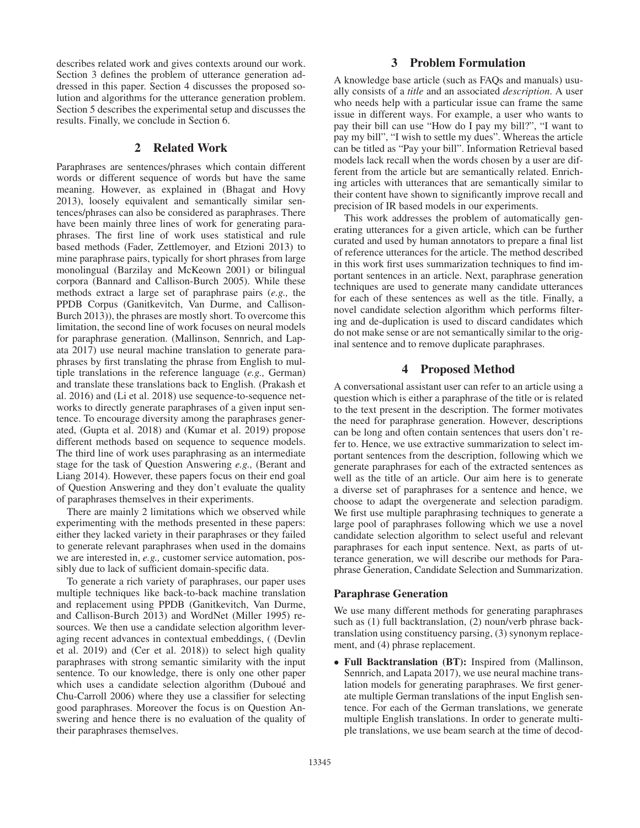describes related work and gives contexts around our work. Section 3 defines the problem of utterance generation addressed in this paper. Section 4 discusses the proposed solution and algorithms for the utterance generation problem. Section 5 describes the experimental setup and discusses the results. Finally, we conclude in Section 6.

# 2 Related Work

Paraphrases are sentences/phrases which contain different words or different sequence of words but have the same meaning. However, as explained in (Bhagat and Hovy 2013), loosely equivalent and semantically similar sentences/phrases can also be considered as paraphrases. There have been mainly three lines of work for generating paraphrases. The first line of work uses statistical and rule based methods (Fader, Zettlemoyer, and Etzioni 2013) to mine paraphrase pairs, typically for short phrases from large monolingual (Barzilay and McKeown 2001) or bilingual corpora (Bannard and Callison-Burch 2005). While these methods extract a large set of paraphrase pairs (*e.g.,* the PPDB Corpus (Ganitkevitch, Van Durme, and Callison-Burch 2013)), the phrases are mostly short. To overcome this limitation, the second line of work focuses on neural models for paraphrase generation. (Mallinson, Sennrich, and Lapata 2017) use neural machine translation to generate paraphrases by first translating the phrase from English to multiple translations in the reference language (*e.g.,* German) and translate these translations back to English. (Prakash et al. 2016) and (Li et al. 2018) use sequence-to-sequence networks to directly generate paraphrases of a given input sentence. To encourage diversity among the paraphrases generated, (Gupta et al. 2018) and (Kumar et al. 2019) propose different methods based on sequence to sequence models. The third line of work uses paraphrasing as an intermediate stage for the task of Question Answering *e.g.,* (Berant and Liang 2014). However, these papers focus on their end goal of Question Answering and they don't evaluate the quality of paraphrases themselves in their experiments.

There are mainly 2 limitations which we observed while experimenting with the methods presented in these papers: either they lacked variety in their paraphrases or they failed to generate relevant paraphrases when used in the domains we are interested in, *e.g.,* customer service automation, possibly due to lack of sufficient domain-specific data.

To generate a rich variety of paraphrases, our paper uses multiple techniques like back-to-back machine translation and replacement using PPDB (Ganitkevitch, Van Durme, and Callison-Burch 2013) and WordNet (Miller 1995) resources. We then use a candidate selection algorithm leveraging recent advances in contextual embeddings, ( (Devlin et al. 2019) and (Cer et al. 2018)) to select high quality paraphrases with strong semantic similarity with the input sentence. To our knowledge, there is only one other paper which uses a candidate selection algorithm (Duboué and Chu-Carroll 2006) where they use a classifier for selecting good paraphrases. Moreover the focus is on Question Answering and hence there is no evaluation of the quality of their paraphrases themselves.

# 3 Problem Formulation

A knowledge base article (such as FAQs and manuals) usually consists of a *title* and an associated *description*. A user who needs help with a particular issue can frame the same issue in different ways. For example, a user who wants to pay their bill can use "How do I pay my bill?", "I want to pay my bill", "I wish to settle my dues". Whereas the article can be titled as "Pay your bill". Information Retrieval based models lack recall when the words chosen by a user are different from the article but are semantically related. Enriching articles with utterances that are semantically similar to their content have shown to significantly improve recall and precision of IR based models in our experiments.

This work addresses the problem of automatically generating utterances for a given article, which can be further curated and used by human annotators to prepare a final list of reference utterances for the article. The method described in this work first uses summarization techniques to find important sentences in an article. Next, paraphrase generation techniques are used to generate many candidate utterances for each of these sentences as well as the title. Finally, a novel candidate selection algorithm which performs filtering and de-duplication is used to discard candidates which do not make sense or are not semantically similar to the original sentence and to remove duplicate paraphrases.

# 4 Proposed Method

A conversational assistant user can refer to an article using a question which is either a paraphrase of the title or is related to the text present in the description. The former motivates the need for paraphrase generation. However, descriptions can be long and often contain sentences that users don't refer to. Hence, we use extractive summarization to select important sentences from the description, following which we generate paraphrases for each of the extracted sentences as well as the title of an article. Our aim here is to generate a diverse set of paraphrases for a sentence and hence, we choose to adapt the overgenerate and selection paradigm. We first use multiple paraphrasing techniques to generate a large pool of paraphrases following which we use a novel candidate selection algorithm to select useful and relevant paraphrases for each input sentence. Next, as parts of utterance generation, we will describe our methods for Paraphrase Generation, Candidate Selection and Summarization.

#### Paraphrase Generation

We use many different methods for generating paraphrases such as (1) full backtranslation, (2) noun/verb phrase backtranslation using constituency parsing, (3) synonym replacement, and (4) phrase replacement.

• Full Backtranslation (BT): Inspired from (Mallinson, Sennrich, and Lapata 2017), we use neural machine translation models for generating paraphrases. We first generate multiple German translations of the input English sentence. For each of the German translations, we generate multiple English translations. In order to generate multiple translations, we use beam search at the time of decod-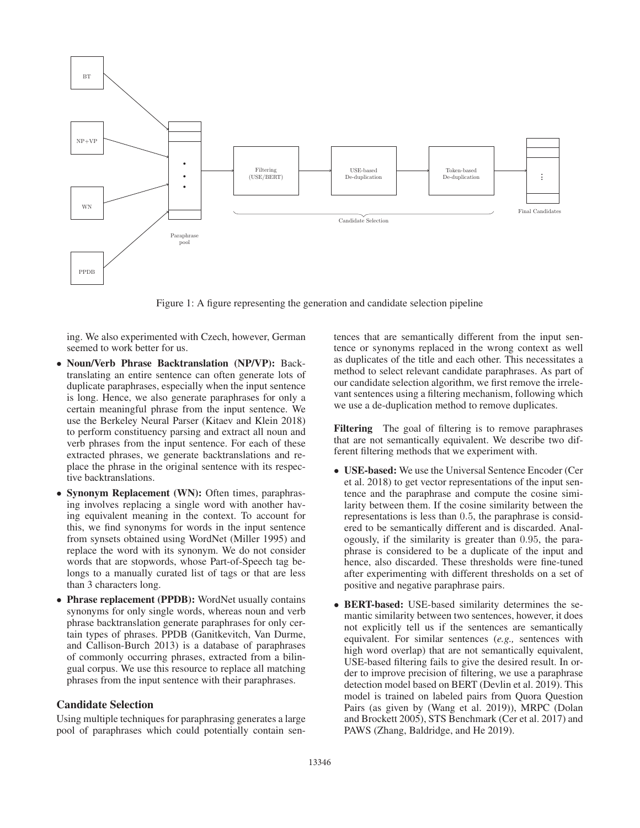

Figure 1: A figure representing the generation and candidate selection pipeline

ing. We also experimented with Czech, however, German seemed to work better for us.

- Noun/Verb Phrase Backtranslation (NP/VP): Backtranslating an entire sentence can often generate lots of duplicate paraphrases, especially when the input sentence is long. Hence, we also generate paraphrases for only a certain meaningful phrase from the input sentence. We use the Berkeley Neural Parser (Kitaev and Klein 2018) to perform constituency parsing and extract all noun and verb phrases from the input sentence. For each of these extracted phrases, we generate backtranslations and replace the phrase in the original sentence with its respective backtranslations.
- Synonym Replacement (WN): Often times, paraphrasing involves replacing a single word with another having equivalent meaning in the context. To account for this, we find synonyms for words in the input sentence from synsets obtained using WordNet (Miller 1995) and replace the word with its synonym. We do not consider words that are stopwords, whose Part-of-Speech tag belongs to a manually curated list of tags or that are less than 3 characters long.
- Phrase replacement (PPDB): WordNet usually contains synonyms for only single words, whereas noun and verb phrase backtranslation generate paraphrases for only certain types of phrases. PPDB (Ganitkevitch, Van Durme, and Callison-Burch 2013) is a database of paraphrases of commonly occurring phrases, extracted from a bilingual corpus. We use this resource to replace all matching phrases from the input sentence with their paraphrases.

# Candidate Selection

Using multiple techniques for paraphrasing generates a large pool of paraphrases which could potentially contain sentences that are semantically different from the input sentence or synonyms replaced in the wrong context as well as duplicates of the title and each other. This necessitates a method to select relevant candidate paraphrases. As part of our candidate selection algorithm, we first remove the irrelevant sentences using a filtering mechanism, following which we use a de-duplication method to remove duplicates.

Filtering The goal of filtering is to remove paraphrases that are not semantically equivalent. We describe two different filtering methods that we experiment with.

- USE-based: We use the Universal Sentence Encoder (Cer et al. 2018) to get vector representations of the input sentence and the paraphrase and compute the cosine similarity between them. If the cosine similarity between the representations is less than 0.5, the paraphrase is considered to be semantically different and is discarded. Analogously, if the similarity is greater than 0.95, the paraphrase is considered to be a duplicate of the input and hence, also discarded. These thresholds were fine-tuned after experimenting with different thresholds on a set of positive and negative paraphrase pairs.
- BERT-based: USE-based similarity determines the semantic similarity between two sentences, however, it does not explicitly tell us if the sentences are semantically equivalent. For similar sentences (*e.g.,* sentences with high word overlap) that are not semantically equivalent, USE-based filtering fails to give the desired result. In order to improve precision of filtering, we use a paraphrase detection model based on BERT (Devlin et al. 2019). This model is trained on labeled pairs from Quora Question Pairs (as given by (Wang et al. 2019)), MRPC (Dolan and Brockett 2005), STS Benchmark (Cer et al. 2017) and PAWS (Zhang, Baldridge, and He 2019).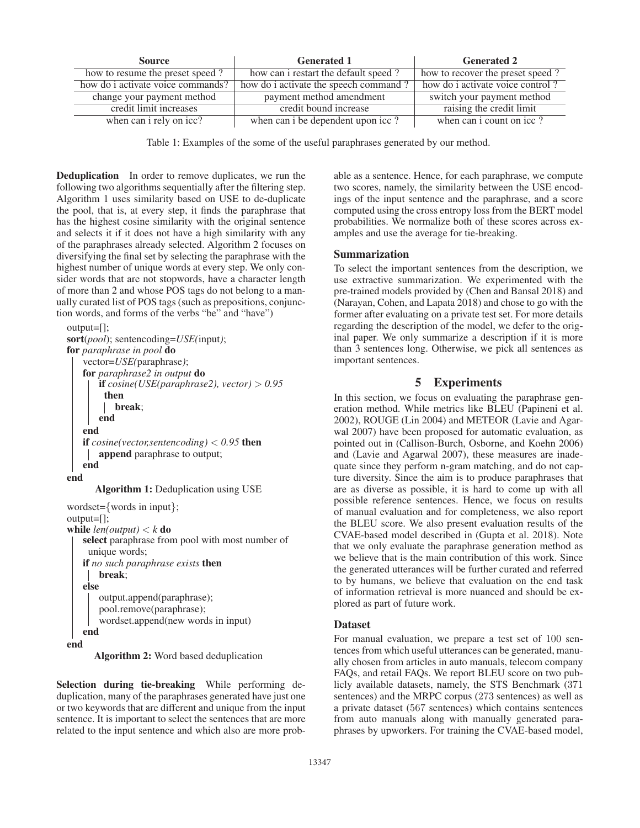| <b>Source</b>                     | <b>Generated 1</b>                    | <b>Generated 2</b>               |  |  |
|-----------------------------------|---------------------------------------|----------------------------------|--|--|
| how to resume the preset speed?   | how can i restart the default speed?  | how to recover the preset speed? |  |  |
| how do i activate voice commands? | how do i activate the speech command? | how do i activate voice control? |  |  |
| change your payment method        | payment method amendment              | switch your payment method       |  |  |
| credit limit increases            | credit bound increase                 | raising the credit limit         |  |  |
| when can i rely on icc?           | when can i be dependent upon icc?     | when can i count on icc?         |  |  |

Table 1: Examples of the some of the useful paraphrases generated by our method.

Deduplication In order to remove duplicates, we run the following two algorithms sequentially after the filtering step. Algorithm 1 uses similarity based on USE to de-duplicate the pool, that is, at every step, it finds the paraphrase that has the highest cosine similarity with the original sentence and selects it if it does not have a high similarity with any of the paraphrases already selected. Algorithm 2 focuses on diversifying the final set by selecting the paraphrase with the highest number of unique words at every step. We only consider words that are not stopwords, have a character length of more than 2 and whose POS tags do not belong to a manually curated list of POS tags (such as prepositions, conjunction words, and forms of the verbs "be" and "have")

```
output=[];
sort(pool); sentencoding=USE(input);
for paraphrase in pool do
   vector=USE(paraphrase);
   for paraphrase2 in output do
       if cosine(USE(paraphrase2), vector) > 0.95then
          break;
       end
   end
   if cosine(vector,sentencoding) < 0.95 then
    append paraphrase to output;
   end
end
      Algorithm 1: Deduplication using USE
wordset={words in input};
output=[];
while len(output) < k do
   select paraphrase from pool with most number of
    unique words;
   if no such paraphrase exists then
       break;
   else
       output.append(paraphrase);
       pool.remove(paraphrase);
       wordset.append(new words in input)
   end
end
```
Algorithm 2: Word based deduplication

Selection during tie-breaking While performing deduplication, many of the paraphrases generated have just one or two keywords that are different and unique from the input sentence. It is important to select the sentences that are more related to the input sentence and which also are more probable as a sentence. Hence, for each paraphrase, we compute two scores, namely, the similarity between the USE encodings of the input sentence and the paraphrase, and a score computed using the cross entropy loss from the BERT model probabilities. We normalize both of these scores across examples and use the average for tie-breaking.

#### Summarization

To select the important sentences from the description, we use extractive summarization. We experimented with the pre-trained models provided by (Chen and Bansal 2018) and (Narayan, Cohen, and Lapata 2018) and chose to go with the former after evaluating on a private test set. For more details regarding the description of the model, we defer to the original paper. We only summarize a description if it is more than 3 sentences long. Otherwise, we pick all sentences as important sentences.

# 5 Experiments

In this section, we focus on evaluating the paraphrase generation method. While metrics like BLEU (Papineni et al. 2002), ROUGE (Lin 2004) and METEOR (Lavie and Agarwal 2007) have been proposed for automatic evaluation, as pointed out in (Callison-Burch, Osborne, and Koehn 2006) and (Lavie and Agarwal 2007), these measures are inadequate since they perform n-gram matching, and do not capture diversity. Since the aim is to produce paraphrases that are as diverse as possible, it is hard to come up with all possible reference sentences. Hence, we focus on results of manual evaluation and for completeness, we also report the BLEU score. We also present evaluation results of the CVAE-based model described in (Gupta et al. 2018). Note that we only evaluate the paraphrase generation method as we believe that is the main contribution of this work. Since the generated utterances will be further curated and referred to by humans, we believe that evaluation on the end task of information retrieval is more nuanced and should be explored as part of future work.

#### **Dataset**

For manual evaluation, we prepare a test set of 100 sentences from which useful utterances can be generated, manually chosen from articles in auto manuals, telecom company FAQs, and retail FAQs. We report BLEU score on two publicly available datasets, namely, the STS Benchmark (371 sentences) and the MRPC corpus (273 sentences) as well as a private dataset (567 sentences) which contains sentences from auto manuals along with manually generated paraphrases by upworkers. For training the CVAE-based model,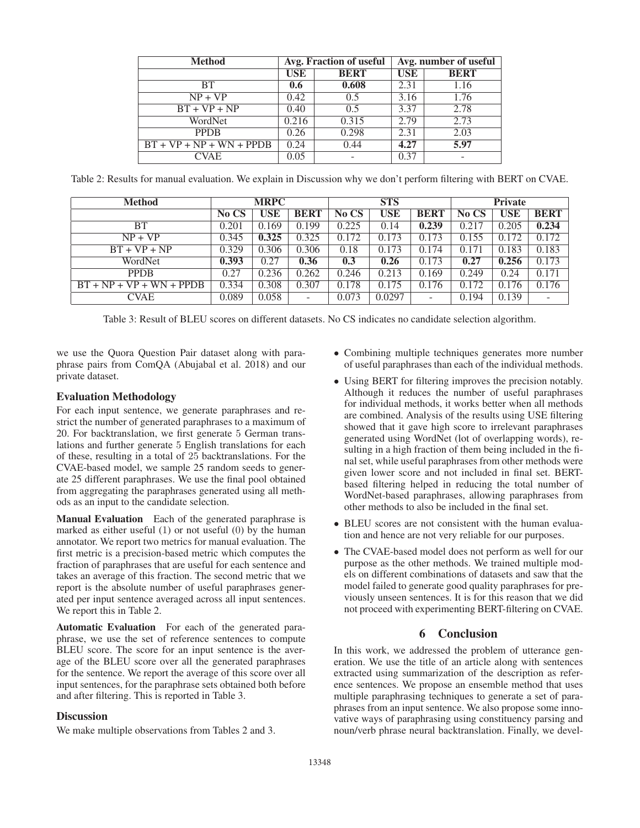| <b>Method</b>              |            | Avg. Fraction of useful | Avg. number of useful |             |  |
|----------------------------|------------|-------------------------|-----------------------|-------------|--|
|                            | <b>USE</b> | <b>BERT</b>             | <b>USE</b>            | <b>BERT</b> |  |
| <b>BT</b>                  | 0.6        | 0.608                   | 2.31                  | 1.16        |  |
| $NP + VP$                  | 0.42       | 0.5                     | 3.16                  | 1.76        |  |
| $BT + VP + NP$             | 0.40       | 0.5                     | 3.37                  | 2.78        |  |
| WordNet                    | 0.216      | 0.315                   | 2.79                  | 2.73        |  |
| <b>PPDB</b>                | 0.26       | 0.298                   | 2.31                  | 2.03        |  |
| $BT + VP + NP + WN + PPDB$ | 0.24       | 0.44                    | 4.27                  | 5.97        |  |
| <b>CVAE</b>                | 0.05       |                         | 0.37                  |             |  |

Table 2: Results for manual evaluation. We explain in Discussion why we don't perform filtering with BERT on CVAE.

| <b>Method</b>              | <b>MRPC</b> |            |                          | <b>STS</b> |        |             | <b>Private</b> |       |             |
|----------------------------|-------------|------------|--------------------------|------------|--------|-------------|----------------|-------|-------------|
|                            | No CS       | <b>USE</b> | <b>BERT</b>              | No CS      | USE    | <b>BERT</b> | No CS          | USE   | <b>BERT</b> |
| BТ                         | 0.201       | 0.169      | 0.199                    | 0.225      | 0.14   | 0.239       | 0.217          | 0.205 | 0.234       |
| $NP + VP$                  | 0.345       | 0.325      | 0.325                    | 0.172      | 0.173  | 0.173       | 0.155          | 0.172 | 0.172       |
| $BT + VP + NP$             | 0.329       | 0.306      | 0.306                    | 0.18       | 0.173  | 0.174       | 0.171          | 0.183 | 0.183       |
| WordNet                    | 0.393       | 0.27       | 0.36                     | 0.3        | 0.26   | 0.173       | 0.27           | 0.256 | 0.173       |
| <b>PPDB</b>                | 0.27        | 0.236      | 0.262                    | 0.246      | 0.213  | 0.169       | 0.249          | 0.24  | 0.171       |
| $BT + NP + VP + WN + PPPB$ | 0.334       | 0.308      | 0.307                    | 0.178      | 0.175  | 0.176       | 0.172          | 0.176 | 0.176       |
| <b>CVAE</b>                | 0.089       | 0.058      | $\overline{\phantom{a}}$ | 0.073      | 0.0297 | -           | 0.194          | 0.139 | ۰           |

Table 3: Result of BLEU scores on different datasets. No CS indicates no candidate selection algorithm.

we use the Quora Question Pair dataset along with paraphrase pairs from ComQA (Abujabal et al. 2018) and our private dataset.

# Evaluation Methodology

For each input sentence, we generate paraphrases and restrict the number of generated paraphrases to a maximum of 20. For backtranslation, we first generate 5 German translations and further generate 5 English translations for each of these, resulting in a total of 25 backtranslations. For the CVAE-based model, we sample 25 random seeds to generate 25 different paraphrases. We use the final pool obtained from aggregating the paraphrases generated using all methods as an input to the candidate selection.

Manual Evaluation Each of the generated paraphrase is marked as either useful (1) or not useful (0) by the human annotator. We report two metrics for manual evaluation. The first metric is a precision-based metric which computes the fraction of paraphrases that are useful for each sentence and takes an average of this fraction. The second metric that we report is the absolute number of useful paraphrases generated per input sentence averaged across all input sentences. We report this in Table 2.

Automatic Evaluation For each of the generated paraphrase, we use the set of reference sentences to compute BLEU score. The score for an input sentence is the average of the BLEU score over all the generated paraphrases for the sentence. We report the average of this score over all input sentences, for the paraphrase sets obtained both before and after filtering. This is reported in Table 3.

#### **Discussion**

We make multiple observations from Tables 2 and 3.

- Combining multiple techniques generates more number of useful paraphrases than each of the individual methods.
- Using BERT for filtering improves the precision notably. Although it reduces the number of useful paraphrases for individual methods, it works better when all methods are combined. Analysis of the results using USE filtering showed that it gave high score to irrelevant paraphrases generated using WordNet (lot of overlapping words), resulting in a high fraction of them being included in the final set, while useful paraphrases from other methods were given lower score and not included in final set. BERTbased filtering helped in reducing the total number of WordNet-based paraphrases, allowing paraphrases from other methods to also be included in the final set.
- BLEU scores are not consistent with the human evaluation and hence are not very reliable for our purposes.
- The CVAE-based model does not perform as well for our purpose as the other methods. We trained multiple models on different combinations of datasets and saw that the model failed to generate good quality paraphrases for previously unseen sentences. It is for this reason that we did not proceed with experimenting BERT-filtering on CVAE.

# 6 Conclusion

In this work, we addressed the problem of utterance generation. We use the title of an article along with sentences extracted using summarization of the description as reference sentences. We propose an ensemble method that uses multiple paraphrasing techniques to generate a set of paraphrases from an input sentence. We also propose some innovative ways of paraphrasing using constituency parsing and noun/verb phrase neural backtranslation. Finally, we devel